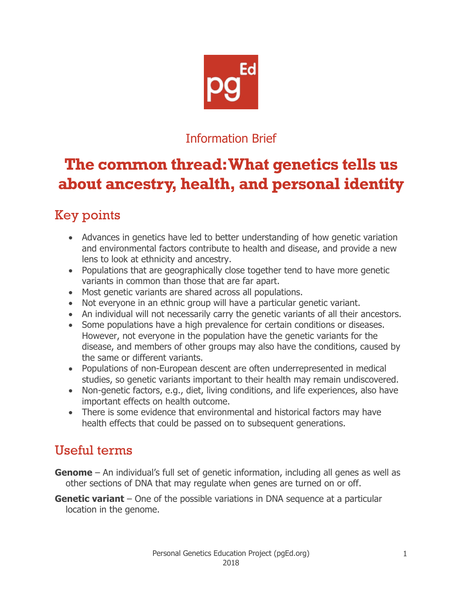

## Information Brief

# **The common thread: What genetics tells us about ancestry, health, and personal identity**

# Key points

- Advances in genetics have led to better understanding of how genetic variation and environmental factors contribute to health and disease, and provide a new lens to look at ethnicity and ancestry.
- Populations that are geographically close together tend to have more genetic variants in common than those that are far apart.
- Most genetic variants are shared across all populations.
- Not everyone in an ethnic group will have a particular genetic variant.
- An individual will not necessarily carry the genetic variants of all their ancestors.
- Some populations have a high prevalence for certain conditions or diseases. However, not everyone in the population have the genetic variants for the disease, and members of other groups may also have the conditions, caused by the same or different variants.
- Populations of non-European descent are often underrepresented in medical studies, so genetic variants important to their health may remain undiscovered.
- Non-genetic factors, e.g., diet, living conditions, and life experiences, also have important effects on health outcome.
- There is some evidence that environmental and historical factors may have health effects that could be passed on to subsequent generations.

## Useful terms

- **Genome** An individual's full set of genetic information, including all genes as well as other sections of DNA that may regulate when genes are turned on or off.
- **Genetic variant** One of the possible variations in DNA sequence at a particular location in the genome.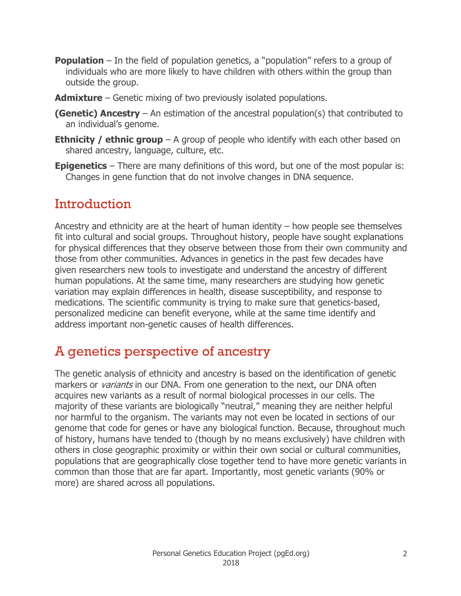- **Population** In the field of population genetics, a "population" refers to a group of individuals who are more likely to have children with others within the group than outside the group.
- **Admixture** Genetic mixing of two previously isolated populations.
- **(Genetic) Ancestry** An estimation of the ancestral population(s) that contributed to an individual's genome.
- **Ethnicity / ethnic group** A group of people who identify with each other based on shared ancestry, language, culture, etc.
- **Epigenetics** There are many definitions of this word, but one of the most popular is: Changes in gene function that do not involve changes in DNA sequence.

#### **Introduction**

Ancestry and ethnicity are at the heart of human identity – how people see themselves fit into cultural and social groups. Throughout history, people have sought explanations for physical differences that they observe between those from their own community and those from other communities. Advances in genetics in the past few decades have given researchers new tools to investigate and understand the ancestry of different human populations. At the same time, many researchers are studying how genetic variation may explain differences in health, disease susceptibility, and response to medications. The scientific community is trying to make sure that genetics-based, personalized medicine can benefit everyone, while at the same time identify and address important non-genetic causes of health differences.

## A genetics perspective of ancestry

The genetic analysis of ethnicity and ancestry is based on the identification of genetic markers or *variants* in our DNA. From one generation to the next, our DNA often acquires new variants as a result of normal biological processes in our cells. The majority of these variants are biologically "neutral," meaning they are neither helpful nor harmful to the organism. The variants may not even be located in sections of our genome that code for genes or have any biological function. Because, throughout much of history, humans have tended to (though by no means exclusively) have children with others in close geographic proximity or within their own social or cultural communities, populations that are geographically close together tend to have more genetic variants in common than those that are far apart. Importantly, most genetic variants (90% or more) are shared across all populations.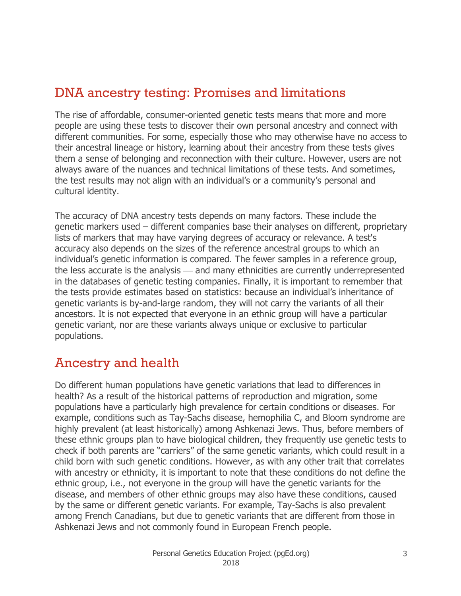## DNA ancestry testing: Promises and limitations

The rise of affordable, consumer-oriented genetic tests means that more and more people are using these tests to discover their own personal ancestry and connect with different communities. For some, especially those who may otherwise have no access to their ancestral lineage or history, learning about their ancestry from these tests gives them a sense of belonging and reconnection with their culture. However, users are not always aware of the nuances and technical limitations of these tests. And sometimes, the test results may not align with an individual's or a community's personal and cultural identity.

The accuracy of DNA ancestry tests depends on many factors. These include the genetic markers used – different companies base their analyses on different, proprietary lists of markers that may have varying degrees of accuracy or relevance. A test's accuracy also depends on the sizes of the reference ancestral groups to which an individual's genetic information is compared. The fewer samples in a reference group, the less accurate is the analysis — and many ethnicities are currently underrepresented in the databases of genetic testing companies. Finally, it is important to remember that the tests provide estimates based on statistics: because an individual's inheritance of genetic variants is by-and-large random, they will not carry the variants of all their ancestors. It is not expected that everyone in an ethnic group will have a particular genetic variant, nor are these variants always unique or exclusive to particular populations.

## Ancestry and health

Do different human populations have genetic variations that lead to differences in health? As a result of the historical patterns of reproduction and migration, some populations have a particularly high prevalence for certain conditions or diseases. For example, conditions such as Tay-Sachs disease, hemophilia C, and Bloom syndrome are highly prevalent (at least historically) among Ashkenazi Jews. Thus, before members of these ethnic groups plan to have biological children, they frequently use genetic tests to check if both parents are "carriers" of the same genetic variants, which could result in a child born with such genetic conditions. However, as with any other trait that correlates with ancestry or ethnicity, it is important to note that these conditions do not define the ethnic group, i.e., not everyone in the group will have the genetic variants for the disease, and members of other ethnic groups may also have these conditions, caused by the same or different genetic variants. For example, Tay-Sachs is also prevalent among French Canadians, but due to genetic variants that are different from those in Ashkenazi Jews and not commonly found in European French people.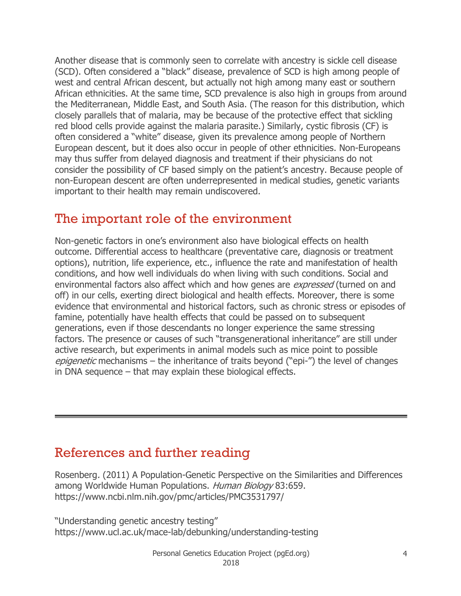Another disease that is commonly seen to correlate with ancestry is sickle cell disease (SCD). Often considered a "black" disease, prevalence of SCD is high among people of west and central African descent, but actually not high among many east or southern African ethnicities. At the same time, SCD prevalence is also high in groups from around the Mediterranean, Middle East, and South Asia. (The reason for this distribution, which closely parallels that of malaria, may be because of the protective effect that sickling red blood cells provide against the malaria parasite.) Similarly, cystic fibrosis (CF) is often considered a "white" disease, given its prevalence among people of Northern European descent, but it does also occur in people of other ethnicities. Non-Europeans may thus suffer from delayed diagnosis and treatment if their physicians do not consider the possibility of CF based simply on the patient's ancestry. Because people of non-European descent are often underrepresented in medical studies, genetic variants important to their health may remain undiscovered.

#### The important role of the environment

Non-genetic factors in one's environment also have biological effects on health outcome. Differential access to healthcare (preventative care, diagnosis or treatment options), nutrition, life experience, etc., influence the rate and manifestation of health conditions, and how well individuals do when living with such conditions. Social and environmental factors also affect which and how genes are *expressed* (turned on and off) in our cells, exerting direct biological and health effects. Moreover, there is some evidence that environmental and historical factors, such as chronic stress or episodes of famine, potentially have health effects that could be passed on to subsequent generations, even if those descendants no longer experience the same stressing factors. The presence or causes of such "transgenerational inheritance" are still under active research, but experiments in animal models such as mice point to possible epigenetic mechanisms – the inheritance of traits beyond ("epi-") the level of changes in DNA sequence – that may explain these biological effects.

## References and further reading

Rosenberg. (2011) A Population-Genetic Perspective on the Similarities and Differences among Worldwide Human Populations. Human Biology 83:659. https://www.ncbi.nlm.nih.gov/pmc/articles/PMC3531797/

"Understanding genetic ancestry testing" https://www.ucl.ac.uk/mace-lab/debunking/understanding-testing

> Personal Genetics Education Project (pgEd.org) 2018